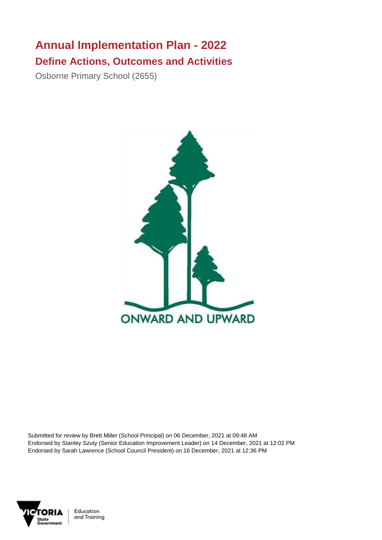## **Annual Implementation Plan - 2022 Define Actions, Outcomes and Activities**

Osborne Primary School (2655)



Submitted for review by Brett Miller (School Principal) on 06 December, 2021 at 09:48 AM Endorsed by Stanley Szuty (Senior Education Improvement Leader) on 14 December, 2021 at 12:02 PM Endorsed by Sarah Lawrence (School Council President) on 16 December, 2021 at 12:36 PM



Education and Training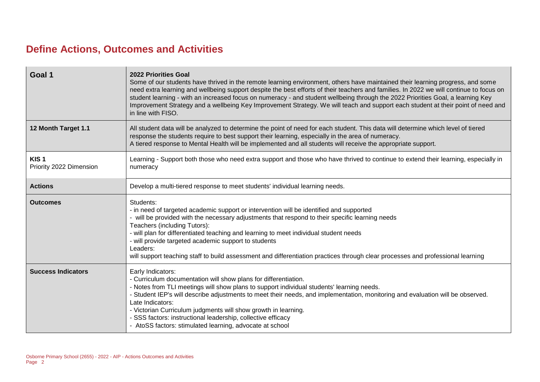## **Define Actions, Outcomes and Activities**

| Goal 1                                      | <b>2022 Priorities Goal</b><br>Some of our students have thrived in the remote learning environment, others have maintained their learning progress, and some<br>need extra learning and wellbeing support despite the best efforts of their teachers and families. In 2022 we will continue to focus on<br>student learning - with an increased focus on numeracy - and student wellbeing through the 2022 Priorities Goal, a learning Key<br>Improvement Strategy and a wellbeing Key Improvement Strategy. We will teach and support each student at their point of need and<br>in line with FISO. |
|---------------------------------------------|-------------------------------------------------------------------------------------------------------------------------------------------------------------------------------------------------------------------------------------------------------------------------------------------------------------------------------------------------------------------------------------------------------------------------------------------------------------------------------------------------------------------------------------------------------------------------------------------------------|
| 12 Month Target 1.1                         | All student data will be analyzed to determine the point of need for each student. This data will determine which level of tiered<br>response the students require to best support their learning, especially in the area of numeracy.<br>A tiered response to Mental Health will be implemented and all students will receive the appropriate support.                                                                                                                                                                                                                                               |
| KIS <sub>1</sub><br>Priority 2022 Dimension | Learning - Support both those who need extra support and those who have thrived to continue to extend their learning, especially in<br>numeracy                                                                                                                                                                                                                                                                                                                                                                                                                                                       |
| <b>Actions</b>                              | Develop a multi-tiered response to meet students' individual learning needs.                                                                                                                                                                                                                                                                                                                                                                                                                                                                                                                          |
| <b>Outcomes</b>                             | Students:<br>- in need of targeted academic support or intervention will be identified and supported<br>- will be provided with the necessary adjustments that respond to their specific learning needs<br>Teachers (including Tutors):<br>- will plan for differentiated teaching and learning to meet individual student needs<br>- will provide targeted academic support to students<br>Leaders:<br>will support teaching staff to build assessment and differentiation practices through clear processes and professional learning                                                               |
| <b>Success Indicators</b>                   | Early Indicators:<br>- Curriculum documentation will show plans for differentiation.<br>- Notes from TLI meetings will show plans to support individual students' learning needs.<br>- Student IEP's will describe adjustments to meet their needs, and implementation, monitoring and evaluation will be observed.<br>Late Indicators:<br>- Victorian Curriculum judgments will show growth in learning.<br>- SSS factors: instructional leadership, collective efficacy<br>- AtoSS factors: stimulated learning, advocate at school                                                                 |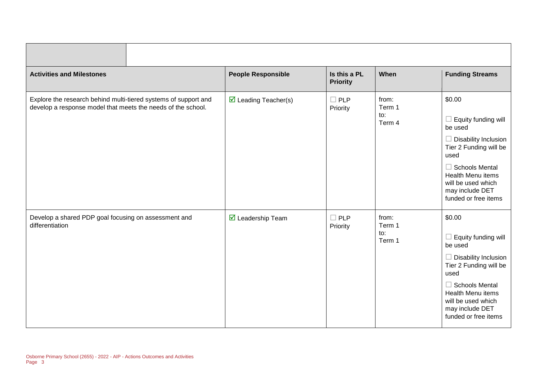| <b>Activities and Milestones</b>                                                                                                | <b>People Responsible</b>               | Is this a PL<br><b>Priority</b> | When                             | <b>Funding Streams</b>                                                                                                                                                                                                                 |
|---------------------------------------------------------------------------------------------------------------------------------|-----------------------------------------|---------------------------------|----------------------------------|----------------------------------------------------------------------------------------------------------------------------------------------------------------------------------------------------------------------------------------|
| Explore the research behind multi-tiered systems of support and<br>develop a response model that meets the needs of the school. | $\triangleright$ Leading Teacher(s)     | $\Box$ PLP<br>Priority          | from:<br>Term 1<br>to:<br>Term 4 | \$0.00<br>$\Box$ Equity funding will<br>be used<br>$\Box$ Disability Inclusion<br>Tier 2 Funding will be<br>used<br>$\Box$ Schools Mental<br><b>Health Menu items</b><br>will be used which<br>may include DET<br>funded or free items |
| Develop a shared PDP goal focusing on assessment and<br>differentiation                                                         | $\overline{\mathbf{M}}$ Leadership Team | $\Box$ PLP<br>Priority          | from:<br>Term 1<br>to:<br>Term 1 | \$0.00<br>$\Box$ Equity funding will<br>be used<br>$\Box$ Disability Inclusion<br>Tier 2 Funding will be<br>used<br>$\Box$ Schools Mental<br>Health Menu items<br>will be used which<br>may include DET<br>funded or free items        |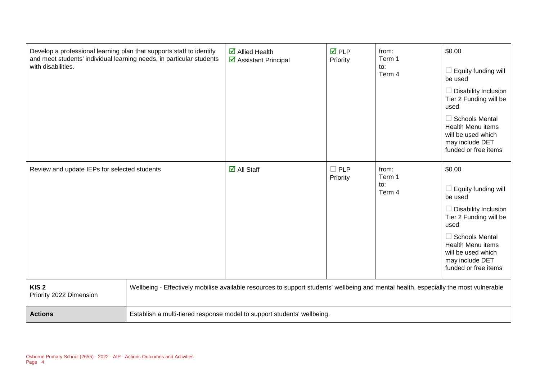| Develop a professional learning plan that supports staff to identify<br>and meet students' individual learning needs, in particular students<br>with disabilities. |                                                                                                                                       | $\boxtimes$ Allied Health<br>$\triangleright$ Assistant Principal       | $\overline{M}$ PLP<br>Priority | from:<br>Term 1<br>to:<br>Term 4 | \$0.00<br>Equity funding will<br>be used<br>$\Box$ Disability Inclusion<br>Tier 2 Funding will be<br>used<br>$\Box$ Schools Mental<br><b>Health Menu items</b><br>will be used which<br>may include DET<br>funded or free items |
|--------------------------------------------------------------------------------------------------------------------------------------------------------------------|---------------------------------------------------------------------------------------------------------------------------------------|-------------------------------------------------------------------------|--------------------------------|----------------------------------|---------------------------------------------------------------------------------------------------------------------------------------------------------------------------------------------------------------------------------|
| Review and update IEPs for selected students                                                                                                                       |                                                                                                                                       | $\overline{\mathsf{d}}$ All Staff                                       | $\square$ PLP<br>Priority      | from:<br>Term 1<br>to:<br>Term 4 | \$0.00<br>Equity funding will<br>be used<br>Disability Inclusion<br>Tier 2 Funding will be<br>used<br>$\Box$ Schools Mental<br><b>Health Menu items</b><br>will be used which<br>may include DET<br>funded or free items        |
| KIS <sub>2</sub><br>Priority 2022 Dimension                                                                                                                        | Wellbeing - Effectively mobilise available resources to support students' wellbeing and mental health, especially the most vulnerable |                                                                         |                                |                                  |                                                                                                                                                                                                                                 |
| <b>Actions</b>                                                                                                                                                     |                                                                                                                                       | Establish a multi-tiered response model to support students' wellbeing. |                                |                                  |                                                                                                                                                                                                                                 |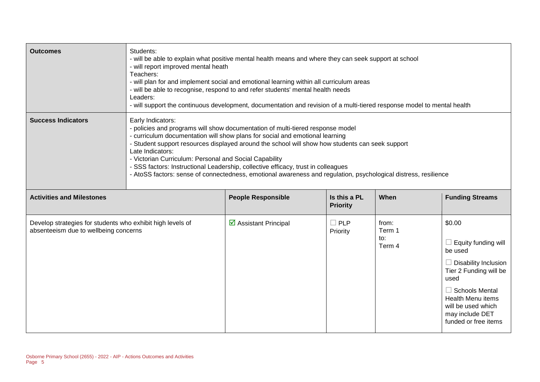| <b>Outcomes</b>                                                                                     | Students:<br>- will be able to explain what positive mental health means and where they can seek support at school<br>- will report improved mental heath<br>Teachers:<br>- will plan for and implement social and emotional learning within all curriculum areas<br>- will be able to recognise, respond to and refer students' mental health needs<br>Leaders:<br>- will support the continuous development, documentation and revision of a multi-tiered response model to mental health                                                                                |                           |                                 |                                  |                                                                                                                                                                                                                                 |
|-----------------------------------------------------------------------------------------------------|----------------------------------------------------------------------------------------------------------------------------------------------------------------------------------------------------------------------------------------------------------------------------------------------------------------------------------------------------------------------------------------------------------------------------------------------------------------------------------------------------------------------------------------------------------------------------|---------------------------|---------------------------------|----------------------------------|---------------------------------------------------------------------------------------------------------------------------------------------------------------------------------------------------------------------------------|
| <b>Success Indicators</b>                                                                           | Early Indicators:<br>- policies and programs will show documentation of multi-tiered response model<br>- curriculum documentation will show plans for social and emotional learning<br>Student support resources displayed around the school will show how students can seek support<br>Late Indicators:<br>- Victorian Curriculum: Personal and Social Capability<br>- SSS factors: Instructional Leadership, collective efficacy, trust in colleagues<br>- AtoSS factors: sense of connectedness, emotional awareness and regulation, psychological distress, resilience |                           |                                 |                                  |                                                                                                                                                                                                                                 |
| <b>Activities and Milestones</b>                                                                    |                                                                                                                                                                                                                                                                                                                                                                                                                                                                                                                                                                            | <b>People Responsible</b> | Is this a PL<br><b>Priority</b> | When                             | <b>Funding Streams</b>                                                                                                                                                                                                          |
| Develop strategies for students who exhibit high levels of<br>absenteeism due to wellbeing concerns |                                                                                                                                                                                                                                                                                                                                                                                                                                                                                                                                                                            | ☑ Assistant Principal     | $\Box$ PLP<br>Priority          | from:<br>Term 1<br>to:<br>Term 4 | \$0.00<br>Equity funding will<br>be used<br><b>Disability Inclusion</b><br>Tier 2 Funding will be<br>used<br><b>Schools Mental</b><br><b>Health Menu items</b><br>will be used which<br>may include DET<br>funded or free items |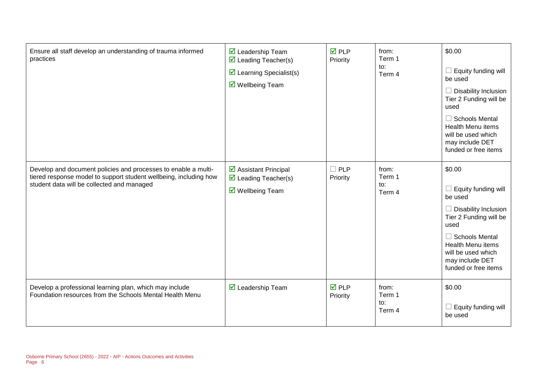| Ensure all staff develop an understanding of trauma informed<br>practices                                                                                                         | $\overline{\mathbf{M}}$ Leadership Team<br>$\overline{\mathbf{y}}$ Leading Teacher(s)<br>$\triangleright$ Learning Specialist(s)<br>$\overline{\mathbf{M}}$ Wellbeing Team | $\overline{M}$ PLP<br>Priority | from:<br>Term 1<br>to:<br>Term 4 | \$0.00<br>Equity funding will<br>be used<br>Disability Inclusion<br>Tier 2 Funding will be<br>used<br>$\Box$ Schools Mental<br><b>Health Menu items</b><br>will be used which<br>may include DET<br>funded or free items        |
|-----------------------------------------------------------------------------------------------------------------------------------------------------------------------------------|----------------------------------------------------------------------------------------------------------------------------------------------------------------------------|--------------------------------|----------------------------------|---------------------------------------------------------------------------------------------------------------------------------------------------------------------------------------------------------------------------------|
| Develop and document policies and processes to enable a multi-<br>tiered response model to support student wellbeing, including how<br>student data will be collected and managed | $\triangleright$ Assistant Principal<br>$\triangledown$ Leading Teacher(s)<br>$\triangledown$ Wellbeing Team                                                               | $\Box$ PLP<br>Priority         | from:<br>Term 1<br>to:<br>Term 4 | \$0.00<br>Equity funding will<br>be used<br>$\Box$ Disability Inclusion<br>Tier 2 Funding will be<br>used<br>$\Box$ Schools Mental<br><b>Health Menu items</b><br>will be used which<br>may include DET<br>funded or free items |
| Develop a professional learning plan, which may include<br>Foundation resources from the Schools Mental Health Menu                                                               | $\triangleright$ Leadership Team                                                                                                                                           | $\overline{M}$ PLP<br>Priority | from:<br>Term 1<br>to:<br>Term 4 | \$0.00<br>Equity funding will<br>be used                                                                                                                                                                                        |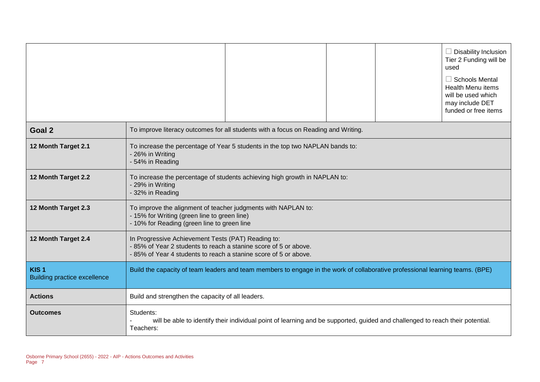|                                                         |                                                                                                                                                                                           |                                                                                                                               |  |  | $\Box$ Disability Inclusion<br>Tier 2 Funding will be<br>used<br>$\Box$ Schools Mental<br><b>Health Menu items</b><br>will be used which<br>may include DET<br>funded or free items |
|---------------------------------------------------------|-------------------------------------------------------------------------------------------------------------------------------------------------------------------------------------------|-------------------------------------------------------------------------------------------------------------------------------|--|--|-------------------------------------------------------------------------------------------------------------------------------------------------------------------------------------|
| Goal 2                                                  |                                                                                                                                                                                           | To improve literacy outcomes for all students with a focus on Reading and Writing.                                            |  |  |                                                                                                                                                                                     |
| 12 Month Target 2.1                                     | - 26% in Writing<br>- 54% in Reading                                                                                                                                                      | To increase the percentage of Year 5 students in the top two NAPLAN bands to:                                                 |  |  |                                                                                                                                                                                     |
| 12 Month Target 2.2                                     | To increase the percentage of students achieving high growth in NAPLAN to:<br>- 29% in Writing<br>- 32% in Reading                                                                        |                                                                                                                               |  |  |                                                                                                                                                                                     |
| 12 Month Target 2.3                                     | To improve the alignment of teacher judgments with NAPLAN to:<br>- 15% for Writing (green line to green line)<br>- 10% for Reading (green line to green line                              |                                                                                                                               |  |  |                                                                                                                                                                                     |
| 12 Month Target 2.4                                     | In Progressive Achievement Tests (PAT) Reading to:<br>- 85% of Year 2 students to reach a stanine score of 5 or above.<br>-85% of Year 4 students to reach a stanine score of 5 or above. |                                                                                                                               |  |  |                                                                                                                                                                                     |
| KIS <sub>1</sub><br><b>Building practice excellence</b> | Build the capacity of team leaders and team members to engage in the work of collaborative professional learning teams. (BPE)                                                             |                                                                                                                               |  |  |                                                                                                                                                                                     |
| <b>Actions</b>                                          | Build and strengthen the capacity of all leaders.                                                                                                                                         |                                                                                                                               |  |  |                                                                                                                                                                                     |
| <b>Outcomes</b>                                         | Students:<br>Teachers:                                                                                                                                                                    | will be able to identify their individual point of learning and be supported, guided and challenged to reach their potential. |  |  |                                                                                                                                                                                     |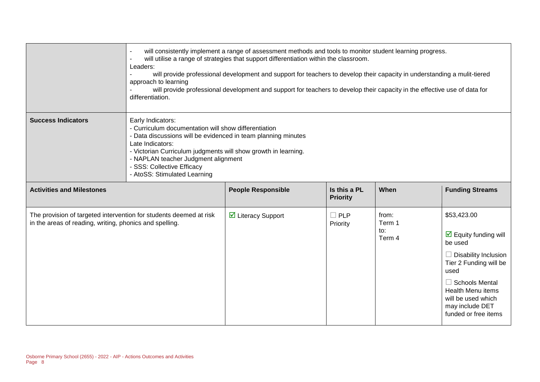|                                                                                                                               | will consistently implement a range of assessment methods and tools to monitor student learning progress.<br>will utilise a range of strategies that support differentiation within the classroom.<br>Leaders:<br>will provide professional development and support for teachers to develop their capacity in understanding a mulit-tiered<br>approach to learning<br>will provide professional development and support for teachers to develop their capacity in the effective use of data for<br>differentiation. |                           |                                 |                                  |                                                                                                                                                                                                                                                       |
|-------------------------------------------------------------------------------------------------------------------------------|---------------------------------------------------------------------------------------------------------------------------------------------------------------------------------------------------------------------------------------------------------------------------------------------------------------------------------------------------------------------------------------------------------------------------------------------------------------------------------------------------------------------|---------------------------|---------------------------------|----------------------------------|-------------------------------------------------------------------------------------------------------------------------------------------------------------------------------------------------------------------------------------------------------|
| <b>Success Indicators</b>                                                                                                     | Early Indicators:<br>- Curriculum documentation will show differentiation<br>- Data discussions will be evidenced in team planning minutes<br>Late Indicators:<br>- Victorian Curriculum judgments will show growth in learning.<br>- NAPLAN teacher Judgment alignment<br>- SSS: Collective Efficacy<br>- AtoSS: Stimulated Learning                                                                                                                                                                               |                           |                                 |                                  |                                                                                                                                                                                                                                                       |
| <b>Activities and Milestones</b>                                                                                              |                                                                                                                                                                                                                                                                                                                                                                                                                                                                                                                     | <b>People Responsible</b> | Is this a PL<br><b>Priority</b> | When                             | <b>Funding Streams</b>                                                                                                                                                                                                                                |
| The provision of targeted intervention for students deemed at risk<br>in the areas of reading, writing, phonics and spelling. |                                                                                                                                                                                                                                                                                                                                                                                                                                                                                                                     | ☑ Literacy Support        | $\Box$ PLP<br>Priority          | from:<br>Term 1<br>to:<br>Term 4 | \$53,423.00<br>$\triangleright$ Equity funding will<br>be used<br><b>Disability Inclusion</b><br>Tier 2 Funding will be<br>used<br>$\Box$ Schools Mental<br><b>Health Menu items</b><br>will be used which<br>may include DET<br>funded or free items |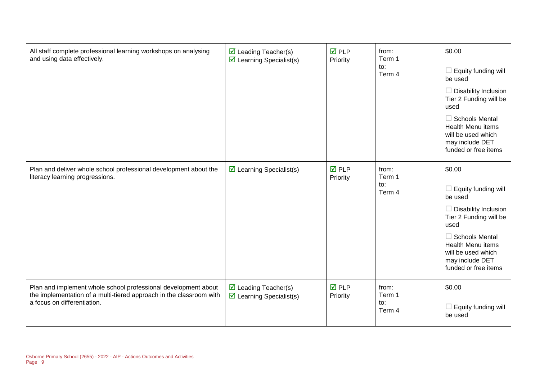| All staff complete professional learning workshops on analysing<br>and using data effectively.                                                                       | $\triangleright$ Leading Teacher(s)<br>$\triangleright$ Learning Specialist(s) | $\overline{M}$ PLP<br>Priority | from:<br>Term 1<br>to:<br>Term 4 | \$0.00<br>Equity funding will<br>be used<br><b>Disability Inclusion</b><br>Tier 2 Funding will be<br>used<br>$\Box$ Schools Mental<br><b>Health Menu items</b><br>will be used which<br>may include DET<br>funded or free items |
|----------------------------------------------------------------------------------------------------------------------------------------------------------------------|--------------------------------------------------------------------------------|--------------------------------|----------------------------------|---------------------------------------------------------------------------------------------------------------------------------------------------------------------------------------------------------------------------------|
| Plan and deliver whole school professional development about the<br>literacy learning progressions.                                                                  | $\triangleright$ Learning Specialist(s)                                        | $\overline{M}$ PLP<br>Priority | from:<br>Term 1<br>to:<br>Term 4 | \$0.00<br>Equity funding will<br>be used<br>$\Box$ Disability Inclusion<br>Tier 2 Funding will be<br>used<br>$\Box$ Schools Mental<br><b>Health Menu items</b><br>will be used which<br>may include DET<br>funded or free items |
| Plan and implement whole school professional development about<br>the implementation of a multi-tiered approach in the classroom with<br>a focus on differentiation. | $\triangleright$ Leading Teacher(s)<br>$\triangleright$ Learning Specialist(s) | $\overline{M}$ PLP<br>Priority | from:<br>Term 1<br>to:<br>Term 4 | \$0.00<br>Equity funding will<br>be used                                                                                                                                                                                        |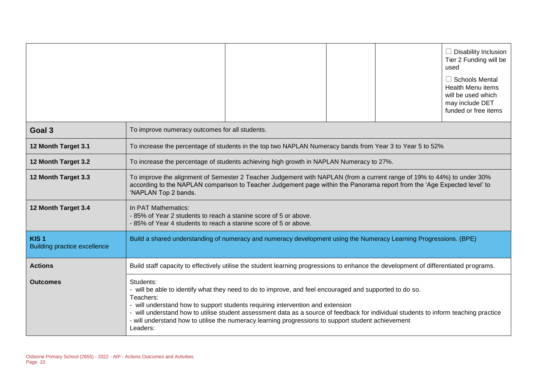|                                                         | $\Box$ Disability Inclusion<br>Tier 2 Funding will be<br>used<br>$\Box$ Schools Mental<br><b>Health Menu items</b><br>will be used which<br>may include DET<br>funded or free items                                                                                                                                                                                                                                                                                           |  |  |  |
|---------------------------------------------------------|-------------------------------------------------------------------------------------------------------------------------------------------------------------------------------------------------------------------------------------------------------------------------------------------------------------------------------------------------------------------------------------------------------------------------------------------------------------------------------|--|--|--|
| Goal 3                                                  | To improve numeracy outcomes for all students.                                                                                                                                                                                                                                                                                                                                                                                                                                |  |  |  |
| 12 Month Target 3.1                                     | To increase the percentage of students in the top two NAPLAN Numeracy bands from Year 3 to Year 5 to 52%                                                                                                                                                                                                                                                                                                                                                                      |  |  |  |
| 12 Month Target 3.2                                     | To increase the percentage of students achieving high growth in NAPLAN Numeracy to 27%.                                                                                                                                                                                                                                                                                                                                                                                       |  |  |  |
| 12 Month Target 3.3                                     | To improve the alignment of Semester 2 Teacher Judgement with NAPLAN (from a current range of 19% to 44%) to under 30%<br>according to the NAPLAN comparison to Teacher Judgement page within the Panorama report from the 'Age Expected level' to<br>'NAPLAN Top 2 bands.                                                                                                                                                                                                    |  |  |  |
| 12 Month Target 3.4                                     | In PAT Mathematics:<br>-85% of Year 2 students to reach a stanine score of 5 or above.<br>-85% of Year 4 students to reach a stanine score of 5 or above.                                                                                                                                                                                                                                                                                                                     |  |  |  |
| KIS <sub>1</sub><br><b>Building practice excellence</b> | Build a shared understanding of numeracy and numeracy development using the Numeracy Learning Progressions. (BPE)                                                                                                                                                                                                                                                                                                                                                             |  |  |  |
| <b>Actions</b>                                          | Build staff capacity to effectively utilise the student learning progressions to enhance the development of differentiated programs.                                                                                                                                                                                                                                                                                                                                          |  |  |  |
| <b>Outcomes</b>                                         | Students:<br>- will be able to identify what they need to do to improve, and feel encouraged and supported to do so.<br>Teachers:<br>- will understand how to support students requiring intervention and extension<br>- will understand how to utilise student assessment data as a source of feedback for individual students to inform teaching practice<br>- will understand how to utilise the numeracy learning progressions to support student achievement<br>Leaders: |  |  |  |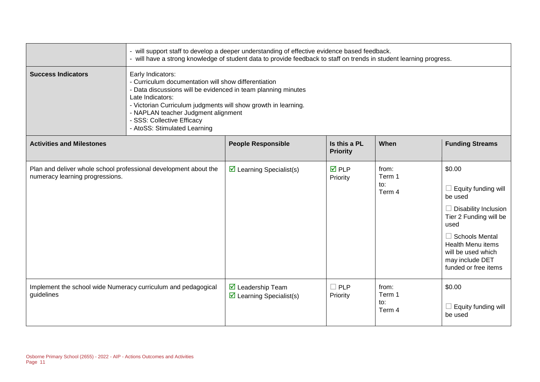|                                                                                                     | - will support staff to develop a deeper understanding of effective evidence based feedback.<br>- will have a strong knowledge of student data to provide feedback to staff on trends in student learning progress.                                                                                                                   |                                                                             |                                 |                                  |                                                                                                                                                                                                                                           |
|-----------------------------------------------------------------------------------------------------|---------------------------------------------------------------------------------------------------------------------------------------------------------------------------------------------------------------------------------------------------------------------------------------------------------------------------------------|-----------------------------------------------------------------------------|---------------------------------|----------------------------------|-------------------------------------------------------------------------------------------------------------------------------------------------------------------------------------------------------------------------------------------|
| <b>Success Indicators</b>                                                                           | Early Indicators:<br>- Curriculum documentation will show differentiation<br>- Data discussions will be evidenced in team planning minutes<br>Late Indicators:<br>- Victorian Curriculum judgments will show growth in learning.<br>- NAPLAN teacher Judgment alignment<br>- SSS: Collective Efficacy<br>- AtoSS: Stimulated Learning |                                                                             |                                 |                                  |                                                                                                                                                                                                                                           |
| <b>Activities and Milestones</b>                                                                    |                                                                                                                                                                                                                                                                                                                                       | <b>People Responsible</b>                                                   | Is this a PL<br><b>Priority</b> | When                             | <b>Funding Streams</b>                                                                                                                                                                                                                    |
| Plan and deliver whole school professional development about the<br>numeracy learning progressions. |                                                                                                                                                                                                                                                                                                                                       | $\triangleright$ Learning Specialist(s)                                     | <b>☑</b> PLP<br>Priority        | from:<br>Term 1<br>to:<br>Term 4 | \$0.00<br>Equity funding will<br>$\Box$<br>be used<br>$\Box$ Disability Inclusion<br>Tier 2 Funding will be<br>used<br>$\Box$ Schools Mental<br><b>Health Menu items</b><br>will be used which<br>may include DET<br>funded or free items |
| Implement the school wide Numeracy curriculum and pedagogical<br>guidelines                         |                                                                                                                                                                                                                                                                                                                                       | $\triangleright$ Leadership Team<br>$\triangleright$ Learning Specialist(s) | $\Box$ PLP<br>Priority          | from:<br>Term 1<br>to:<br>Term 4 | \$0.00<br>Equity funding will<br>be used                                                                                                                                                                                                  |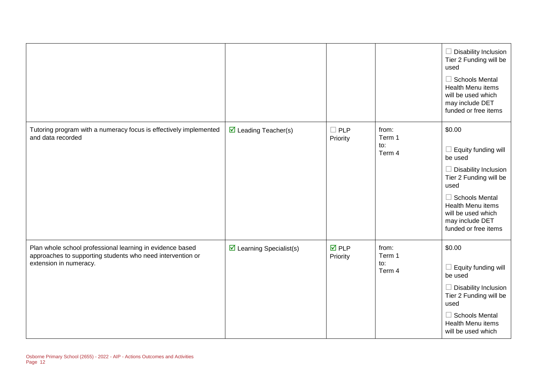|                                                                                                                                                   |                                         |                                |                                  | $\Box$ Disability Inclusion<br>Tier 2 Funding will be<br>used<br>$\Box$ Schools Mental<br>Health Menu items<br>will be used which<br>may include DET<br>funded or free items                                                    |
|---------------------------------------------------------------------------------------------------------------------------------------------------|-----------------------------------------|--------------------------------|----------------------------------|---------------------------------------------------------------------------------------------------------------------------------------------------------------------------------------------------------------------------------|
| Tutoring program with a numeracy focus is effectively implemented<br>and data recorded                                                            | $\triangleright$ Leading Teacher(s)     | $\Box$ PLP<br>Priority         | from:<br>Term 1<br>to:<br>Term 4 | \$0.00<br>$\Box$ Equity funding will<br>be used<br>$\Box$ Disability Inclusion<br>Tier 2 Funding will be<br>used<br>$\Box$ Schools Mental<br>Health Menu items<br>will be used which<br>may include DET<br>funded or free items |
| Plan whole school professional learning in evidence based<br>approaches to supporting students who need intervention or<br>extension in numeracy. | $\triangleright$ Learning Specialist(s) | $\overline{M}$ PLP<br>Priority | from:<br>Term 1<br>to:<br>Term 4 | \$0.00<br>$\Box$ Equity funding will<br>be used<br>$\Box$ Disability Inclusion<br>Tier 2 Funding will be<br>used<br>$\Box$ Schools Mental<br>Health Menu items<br>will be used which                                            |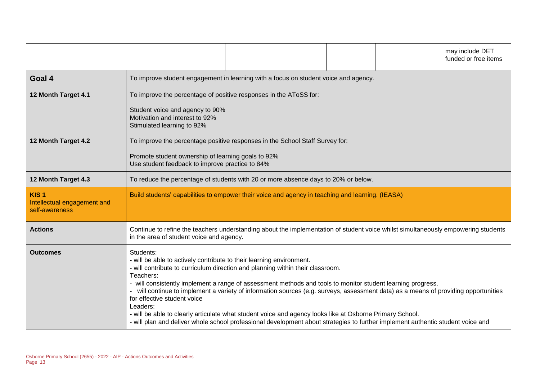|                                                                   |                                                                                                                                           |                                                                                                                                                                                                                                                                                                                                                                                                                                                                                                                                                                                     |  |  | may include DET<br>funded or free items |
|-------------------------------------------------------------------|-------------------------------------------------------------------------------------------------------------------------------------------|-------------------------------------------------------------------------------------------------------------------------------------------------------------------------------------------------------------------------------------------------------------------------------------------------------------------------------------------------------------------------------------------------------------------------------------------------------------------------------------------------------------------------------------------------------------------------------------|--|--|-----------------------------------------|
| Goal 4                                                            |                                                                                                                                           | To improve student engagement in learning with a focus on student voice and agency.                                                                                                                                                                                                                                                                                                                                                                                                                                                                                                 |  |  |                                         |
| 12 Month Target 4.1                                               | Student voice and agency to 90%<br>Motivation and interest to 92%<br>Stimulated learning to 92%                                           | To improve the percentage of positive responses in the AToSS for:                                                                                                                                                                                                                                                                                                                                                                                                                                                                                                                   |  |  |                                         |
| 12 Month Target 4.2                                               | Promote student ownership of learning goals to 92%<br>Use student feedback to improve practice to 84%                                     | To improve the percentage positive responses in the School Staff Survey for:                                                                                                                                                                                                                                                                                                                                                                                                                                                                                                        |  |  |                                         |
| 12 Month Target 4.3                                               | To reduce the percentage of students with 20 or more absence days to 20% or below.                                                        |                                                                                                                                                                                                                                                                                                                                                                                                                                                                                                                                                                                     |  |  |                                         |
| KIS <sub>1</sub><br>Intellectual engagement and<br>self-awareness | Build students' capabilities to empower their voice and agency in teaching and learning. (IEASA)                                          |                                                                                                                                                                                                                                                                                                                                                                                                                                                                                                                                                                                     |  |  |                                         |
| <b>Actions</b>                                                    | in the area of student voice and agency.                                                                                                  | Continue to refine the teachers understanding about the implementation of student voice whilst simultaneously empowering students                                                                                                                                                                                                                                                                                                                                                                                                                                                   |  |  |                                         |
| <b>Outcomes</b>                                                   | Students:<br>- will be able to actively contribute to their learning environment.<br>Teachers:<br>for effective student voice<br>Leaders: | - will contribute to curriculum direction and planning within their classroom.<br>- will consistently implement a range of assessment methods and tools to monitor student learning progress.<br>- will continue to implement a variety of information sources (e.g. surveys, assessment data) as a means of providing opportunities<br>- will be able to clearly articulate what student voice and agency looks like at Osborne Primary School.<br>- will plan and deliver whole school professional development about strategies to further implement authentic student voice and |  |  |                                         |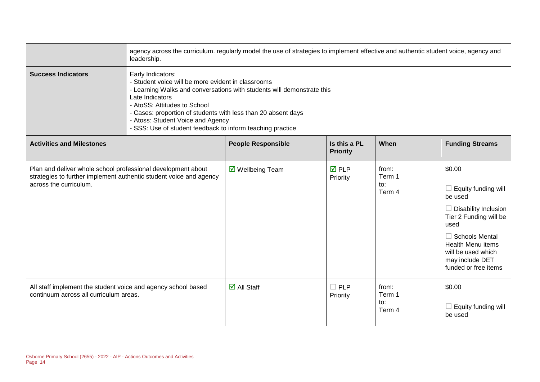|                                                                                                                                                              | agency across the curriculum. regularly model the use of strategies to implement effective and authentic student voice, agency and<br>leadership.                                                                                                                                                                                                                        |                                   |                                 |                                  |                                                                                                                                                                                                                                        |  |
|--------------------------------------------------------------------------------------------------------------------------------------------------------------|--------------------------------------------------------------------------------------------------------------------------------------------------------------------------------------------------------------------------------------------------------------------------------------------------------------------------------------------------------------------------|-----------------------------------|---------------------------------|----------------------------------|----------------------------------------------------------------------------------------------------------------------------------------------------------------------------------------------------------------------------------------|--|
| <b>Success Indicators</b>                                                                                                                                    | Early Indicators:<br>- Student voice will be more evident in classrooms<br>- Learning Walks and conversations with students will demonstrate this<br>Late Indicators<br>- AtoSS: Attitudes to School<br>- Cases: proportion of students with less than 20 absent days<br>- Atoss: Student Voice and Agency<br>- SSS: Use of student feedback to inform teaching practice |                                   |                                 |                                  |                                                                                                                                                                                                                                        |  |
| <b>Activities and Milestones</b>                                                                                                                             |                                                                                                                                                                                                                                                                                                                                                                          | <b>People Responsible</b>         | Is this a PL<br><b>Priority</b> | When                             | <b>Funding Streams</b>                                                                                                                                                                                                                 |  |
| Plan and deliver whole school professional development about<br>strategies to further implement authentic student voice and agency<br>across the curriculum. |                                                                                                                                                                                                                                                                                                                                                                          | $\triangledown$ Wellbeing Team    | $\overline{M}$ PLP<br>Priority  | from:<br>Term 1<br>to:<br>Term 4 | \$0.00<br>$\Box$ Equity funding will<br>be used<br>$\Box$ Disability Inclusion<br>Tier 2 Funding will be<br>used<br>$\Box$ Schools Mental<br><b>Health Menu items</b><br>will be used which<br>may include DET<br>funded or free items |  |
| All staff implement the student voice and agency school based<br>continuum across all curriculum areas.                                                      |                                                                                                                                                                                                                                                                                                                                                                          | $\overline{\mathbf{M}}$ All Staff | $\square$ PLP<br>Priority       | from:<br>Term 1<br>to:<br>Term 4 | \$0.00<br>$\Box$ Equity funding will<br>be used                                                                                                                                                                                        |  |